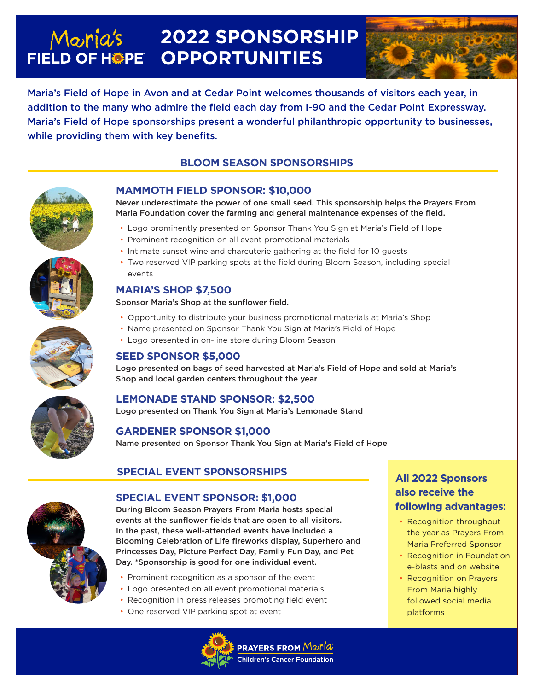# **2022 SPONSORSHIP**  Maria's **FIELD OF HOPE OPPORTUNITIES**



Maria's Field of Hope in Avon and at Cedar Point welcomes thousands of visitors each year, in addition to the many who admire the field each day from I-90 and the Cedar Point Expressway. Maria's Field of Hope sponsorships present a wonderful philanthropic opportunity to businesses, while providing them with key benefits.

# **BLOOM SEASON SPONSORSHIPS**



## **MAMMOTH FIELD SPONSOR: \$10,000**

Never underestimate the power of one small seed. This sponsorship helps the Prayers From Maria Foundation cover the farming and general maintenance expenses of the field.

- Logo prominently presented on Sponsor Thank You Sign at Maria's Field of Hope
- Prominent recognition on all event promotional materials
- Intimate sunset wine and charcuterie gathering at the field for 10 guests
- Two reserved VIP parking spots at the field during Bloom Season, including special events

#### **MARIA'S SHOP \$7,500**

Sponsor Maria's Shop at the sunflower field.

- Opportunity to distribute your business promotional materials at Maria's Shop
- Name presented on Sponsor Thank You Sign at Maria's Field of Hope
- Logo presented in on-line store during Bloom Season

### **SEED SPONSOR \$5,000**

Logo presented on bags of seed harvested at Maria's Field of Hope and sold at Maria's Shop and local garden centers throughout the year

### **LEMONADE STAND SPONSOR: \$2,500**

Logo presented on Thank You Sign at Maria's Lemonade Stand

#### **GARDENER SPONSOR \$1,000**

Name presented on Sponsor Thank You Sign at Maria's Field of Hope

## **SPECIAL EVENT SPONSORSHIPS**



#### **SPECIAL EVENT SPONSOR: \$1,000**

During Bloom Season Prayers From Maria hosts special events at the sunflower fields that are open to all visitors. In the past, these well-attended events have included a Blooming Celebration of Life fireworks display, Superhero and Princesses Day, Picture Perfect Day, Family Fun Day, and Pet Day. \*Sponsorship is good for one individual event.

- Prominent recognition as a sponsor of the event
- Logo presented on all event promotional materials
- Recognition in press releases promoting field event
- One reserved VIP parking spot at event



# **All 2022 Sponsors also receive the following advantages:**

- Recognition throughout the year as Prayers From Maria Preferred Sponsor
- Recognition in Foundation e-blasts and on website
- Recognition on Prayers From Maria highly followed social media platforms